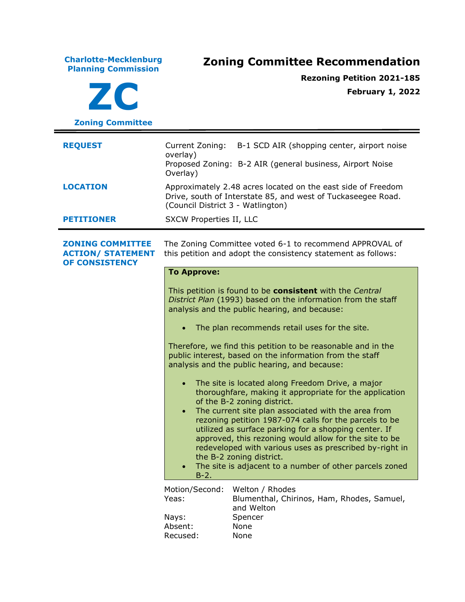**Charlotte-Mecklenburg Planning Commission Zoning Committee Recommendation ZC Zoning Committee Rezoning Petition 2021-185 February 1, 2022 REQUEST** Current Zoning: B-1 SCD AIR (shopping center, airport noise overlay) Proposed Zoning: B-2 AIR (general business, Airport Noise Overlay) **LOCATION** Approximately 2.48 acres located on the east side of Freedom Drive, south of Interstate 85, and west of Tuckaseegee Road. (Council District 3 - Watlington) **PETITIONER** SXCW Properties II, LLC **ZONING COMMITTEE ACTION/ STATEMENT OF CONSISTENCY** The Zoning Committee voted 6-1 to recommend APPROVAL of this petition and adopt the consistency statement as follows: **To Approve:** This petition is found to be **consistent** with the *Central District Plan* (1993) based on the information from the staff analysis and the public hearing, and because: The plan recommends retail uses for the site. Therefore, we find this petition to be reasonable and in the public interest, based on the information from the staff analysis and the public hearing, and because: • The site is located along Freedom Drive, a major thoroughfare, making it appropriate for the application of the B-2 zoning district. • The current site plan associated with the area from rezoning petition 1987-074 calls for the parcels to be utilized as surface parking for a shopping center. If approved, this rezoning would allow for the site to be redeveloped with various uses as prescribed by-right in the B-2 zoning district. • The site is adjacent to a number of other parcels zoned B-2. Motion/Second: Welton / Rhodes Yeas: Blumenthal, Chirinos, Ham, Rhodes, Samuel, and Welton Nays: Spencer Absent: None Recused: None